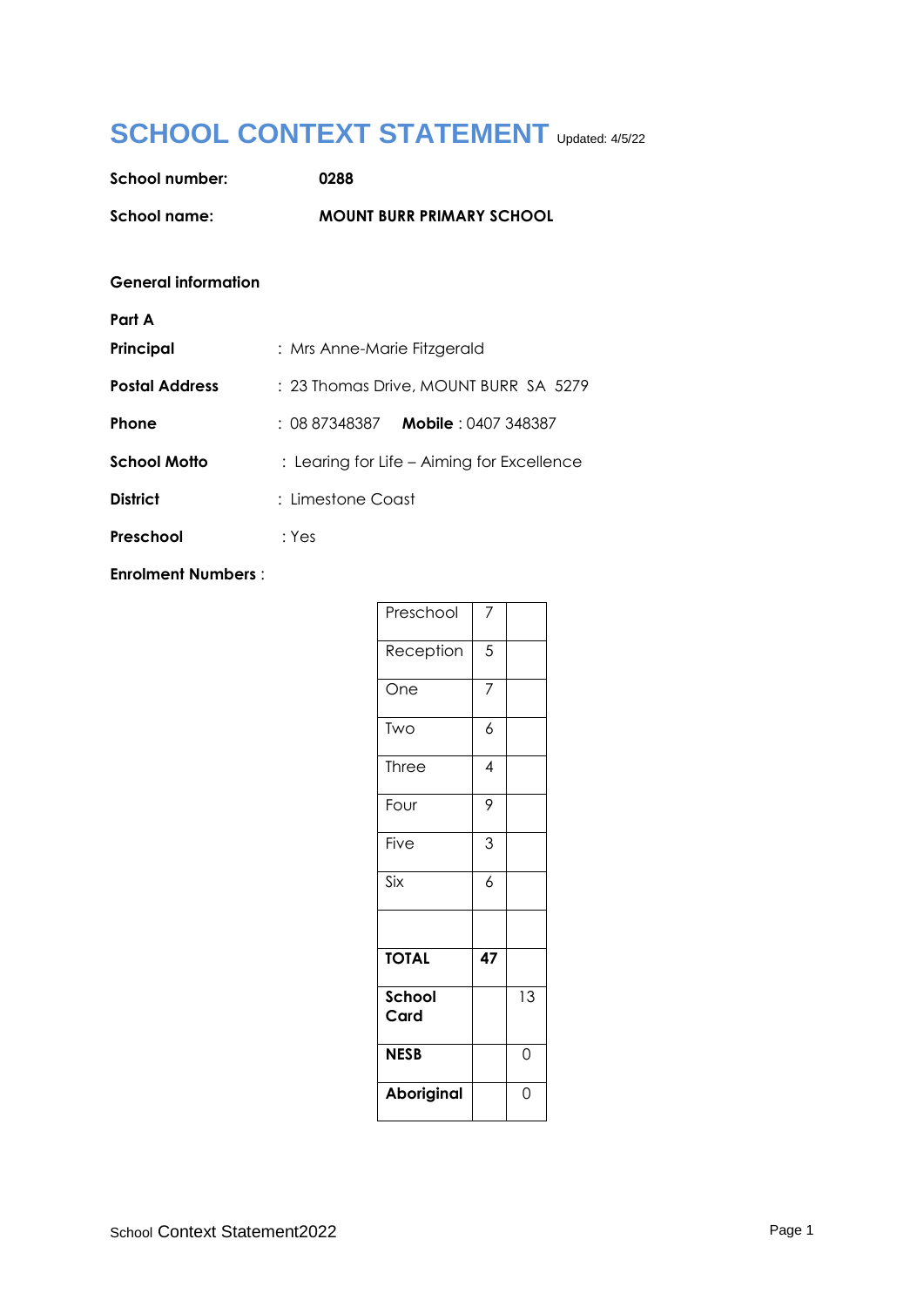# **SCHOOL CONTEXT STATEMENT** Updated: 4/5/22

| <b>School number:</b>      | 0288                                       |  |
|----------------------------|--------------------------------------------|--|
| School name:               | <b>MOUNT BURR PRIMARY SCHOOL</b>           |  |
|                            |                                            |  |
| <b>General information</b> |                                            |  |
| Part A                     |                                            |  |
| Principal                  | : Mrs Anne-Marie Fitzgerald                |  |
| <b>Postal Address</b>      | : 23 Thomas Drive, MOUNT BURR SA 5279      |  |
| <b>Phone</b>               | : 08 87348387 <b>Mobile</b> : 0407 348387  |  |
| <b>School Motto</b>        | : Learing for Life – Aiming for Excellence |  |
| <b>District</b>            | : Limestone Coast                          |  |
| Preschool                  | : Yes                                      |  |

**Enrolment Numbers** :

| Preschool      | 7                        |                 |
|----------------|--------------------------|-----------------|
| Reception      | 5                        |                 |
| One            | $\overline{7}$           |                 |
| Two            | 6                        |                 |
| Three          | $\overline{\mathcal{A}}$ |                 |
| Four           | 9                        |                 |
| Five           | 3                        |                 |
| Six            | $\overline{6}$           |                 |
|                |                          |                 |
| <b>TOTAL</b>   | 47                       |                 |
| School<br>Card |                          | $\overline{13}$ |
| <b>NESB</b>    |                          | 0               |
| Aboriginal     |                          | 0               |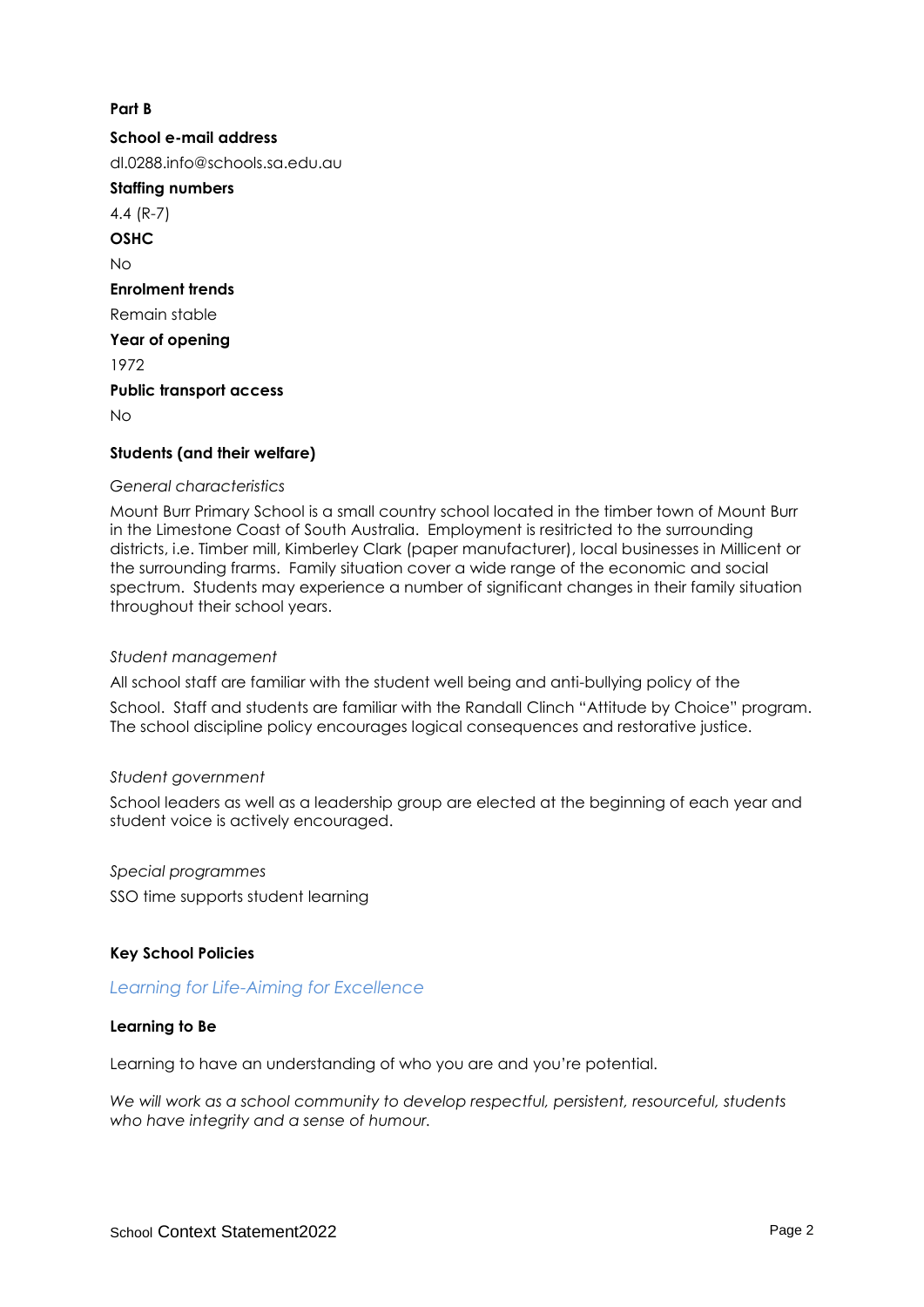# **Part B**

**School e-mail address** dl.0288.info@schools.sa.edu.au **Staffing numbers** 4.4 (R-7) **OSHC**  $N<sub>0</sub>$ **Enrolment trends** Remain stable **Year of opening** 1972 **Public transport access**  $N<sub>0</sub>$ **Students (and their welfare)**

#### *General characteristics*

Mount Burr Primary School is a small country school located in the timber town of Mount Burr in the Limestone Coast of South Australia. Employment is resitricted to the surrounding districts, i.e. Timber mill, Kimberley Clark (paper manufacturer), local businesses in Millicent or the surrounding frarms. Family situation cover a wide range of the economic and social spectrum. Students may experience a number of significant changes in their family situation throughout their school years.

#### *Student management*

All school staff are familiar with the student well being and anti-bullying policy of the

School. Staff and students are familiar with the Randall Clinch "Attitude by Choice" program. The school discipline policy encourages logical consequences and restorative justice.

## *Student government*

School leaders as well as a leadership group are elected at the beginning of each year and student voice is actively encouraged.

*Special programmes* SSO time supports student learning

## **Key School Policies**

## *Learning for Life-Aiming for Excellence*

## **Learning to Be**

Learning to have an understanding of who you are and you're potential.

*We will work as a school community to develop respectful, persistent, resourceful, students who have integrity and a sense of humour.*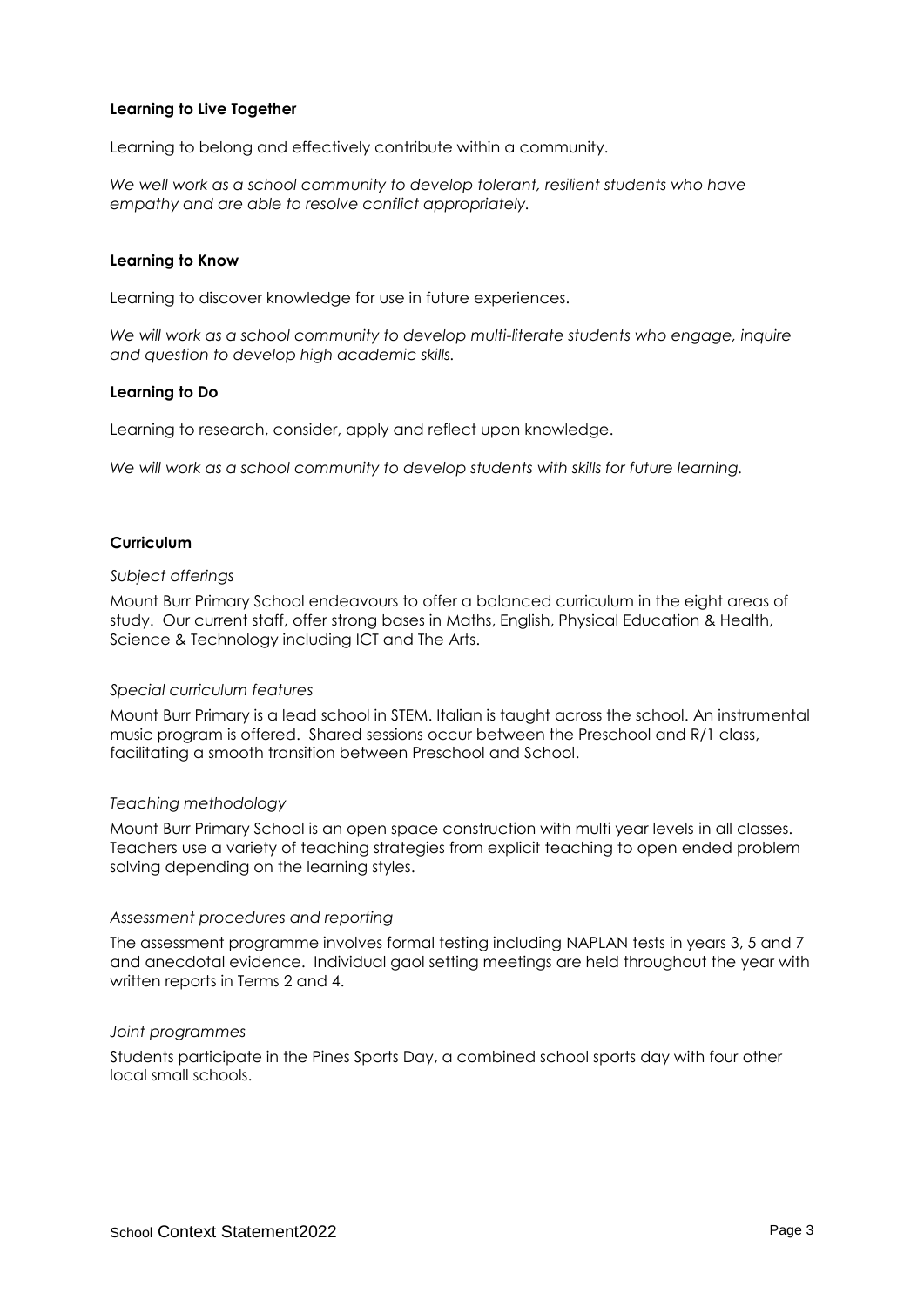# **Learning to Live Together**

Learning to belong and effectively contribute within a community.

We well work as a school community to develop tolerant, resilient students who have *empathy and are able to resolve conflict appropriately.*

#### **Learning to Know**

Learning to discover knowledge for use in future experiences.

*We will work as a school community to develop multi-literate students who engage, inquire and question to develop high academic skills.*

## **Learning to Do**

Learning to research, consider, apply and reflect upon knowledge.

*We will work as a school community to develop students with skills for future learning.*

## **Curriculum**

#### *Subject offerings*

Mount Burr Primary School endeavours to offer a balanced curriculum in the eight areas of study. Our current staff, offer strong bases in Maths, English, Physical Education & Health, Science & Technology including ICT and The Arts.

## *Special curriculum features*

Mount Burr Primary is a lead school in STEM. Italian is taught across the school. An instrumental music program is offered. Shared sessions occur between the Preschool and R/1 class, facilitating a smooth transition between Preschool and School.

## *Teaching methodology*

Mount Burr Primary School is an open space construction with multi year levels in all classes. Teachers use a variety of teaching strategies from explicit teaching to open ended problem solving depending on the learning styles.

## *Assessment procedures and reporting*

The assessment programme involves formal testing including NAPLAN tests in years 3, 5 and 7 and anecdotal evidence. Individual gaol setting meetings are held throughout the year with written reports in Terms 2 and 4.

#### *Joint programmes*

Students participate in the Pines Sports Day, a combined school sports day with four other local small schools.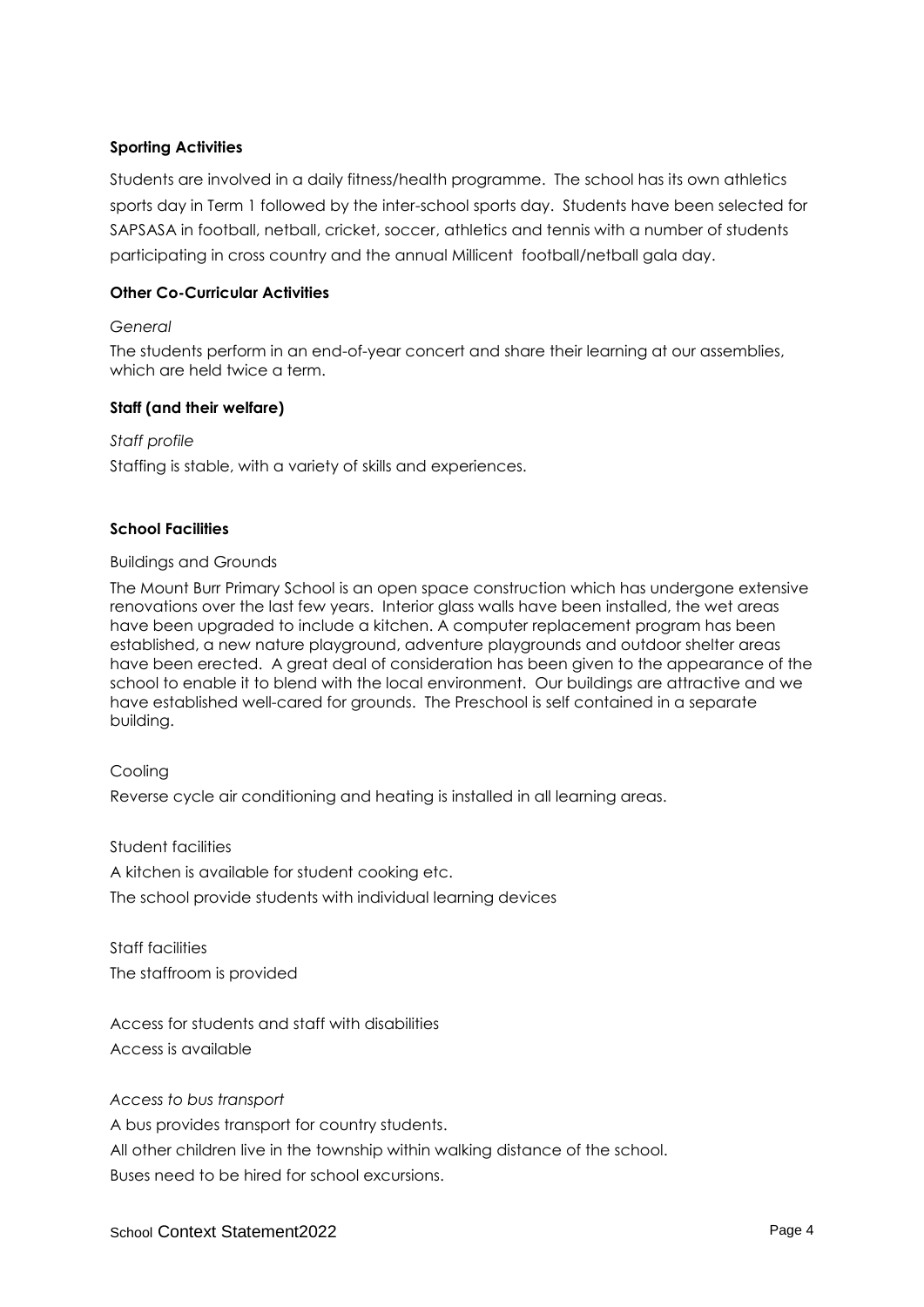# **Sporting Activities**

Students are involved in a daily fitness/health programme. The school has its own athletics sports day in Term 1 followed by the inter-school sports day. Students have been selected for SAPSASA in football, netball, cricket, soccer, athletics and tennis with a number of students participating in cross country and the annual Millicent football/netball gala day.

## **Other Co-Curricular Activities**

## *General*

The students perform in an end-of-year concert and share their learning at our assemblies, which are held twice a term.

## **Staff (and their welfare)**

*Staff profile*

Staffing is stable, with a variety of skills and experiences.

# **School Facilities**

## Buildings and Grounds

The Mount Burr Primary School is an open space construction which has undergone extensive renovations over the last few years. Interior glass walls have been installed, the wet areas have been upgraded to include a kitchen. A computer replacement program has been established, a new nature playground, adventure playgrounds and outdoor shelter areas have been erected. A great deal of consideration has been given to the appearance of the school to enable it to blend with the local environment. Our buildings are attractive and we have established well-cared for grounds. The Preschool is self contained in a separate building.

Cooling Reverse cycle air conditioning and heating is installed in all learning areas.

Student facilities A kitchen is available for student cooking etc. The school provide students with individual learning devices

Staff facilities The staffroom is provided

Access for students and staff with disabilities Access is available

## *Access to bus transport*

A bus provides transport for country students.

All other children live in the township within walking distance of the school.

Buses need to be hired for school excursions.